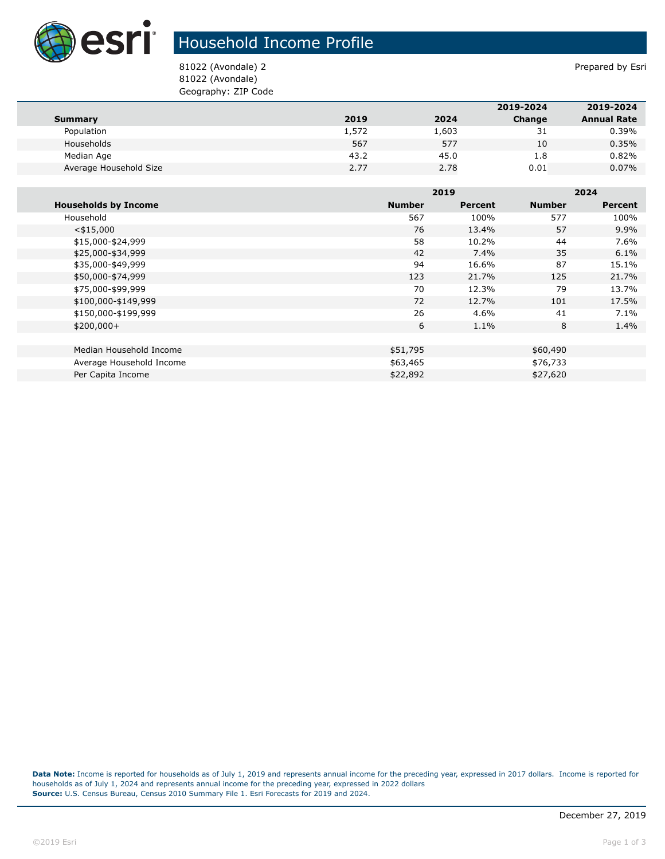

## Household Income Profile

81022 (Avondale) 2 Prepared by Esri 81022 (Avondale) Geography: ZIP Code

|                        |       |       | 2019-2024 | 2019-2024          |
|------------------------|-------|-------|-----------|--------------------|
| Summary                | 2019  | 2024  | Change    | <b>Annual Rate</b> |
| Population             | 1,572 | 1,603 | 31        | 0.39%              |
| Households             | 567   | 577   | 10        | 0.35%              |
| Median Age             | 43.2  | 45.0  | 1.8       | 0.82%              |
| Average Household Size | 2.77  | 2.78  | 0.01      | 0.07%              |

|                             |               | 2019    |               | 2024    |  |
|-----------------------------|---------------|---------|---------------|---------|--|
| <b>Households by Income</b> | <b>Number</b> | Percent | <b>Number</b> | Percent |  |
| Household                   | 567           | 100%    | 577           | 100%    |  |
| $<$ \$15,000                | 76            | 13.4%   | 57            | 9.9%    |  |
| \$15,000-\$24,999           | 58            | 10.2%   | 44            | 7.6%    |  |
| \$25,000-\$34,999           | 42            | 7.4%    | 35            | 6.1%    |  |
| \$35,000-\$49,999           | 94            | 16.6%   | 87            | 15.1%   |  |
| \$50,000-\$74,999           | 123           | 21.7%   | 125           | 21.7%   |  |
| \$75,000-\$99,999           | 70            | 12.3%   | 79            | 13.7%   |  |
| \$100,000-\$149,999         | 72            | 12.7%   | 101           | 17.5%   |  |
| \$150,000-\$199,999         | 26            | 4.6%    | 41            | 7.1%    |  |
| $$200,000+$                 | 6             | $1.1\%$ | 8             | 1.4%    |  |
|                             |               |         |               |         |  |
| Median Household Income     | \$51,795      |         | \$60,490      |         |  |
| Average Household Income    | \$63,465      |         | \$76,733      |         |  |
| Per Capita Income           | \$22,892      |         | \$27,620      |         |  |

**Data Note:** Income is reported for households as of July 1, 2019 and represents annual income for the preceding year, expressed in 2017 dollars. Income is reported for households as of July 1, 2024 and represents annual income for the preceding year, expressed in 2022 dollars **Source:** U.S. Census Bureau, Census 2010 Summary File 1. Esri Forecasts for 2019 and 2024.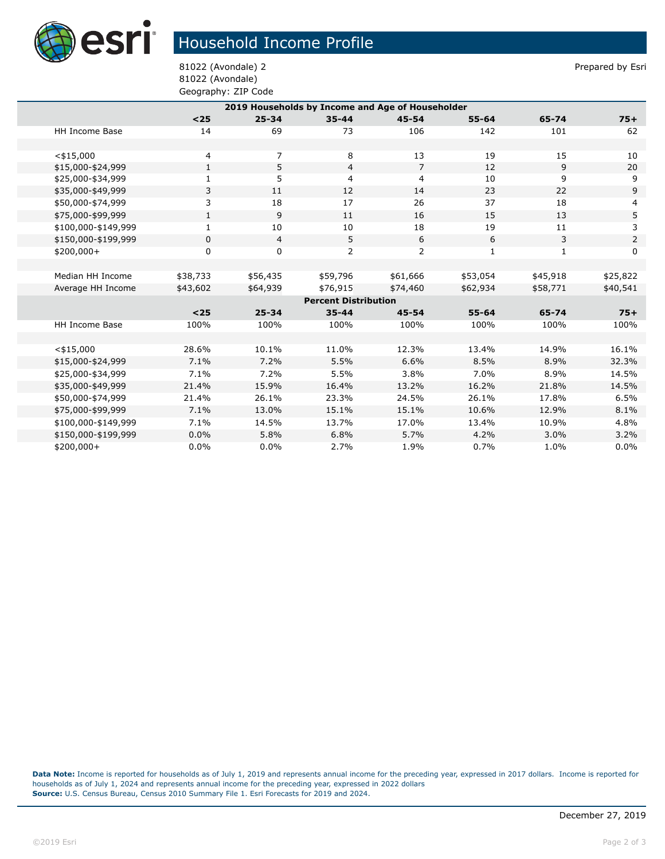

## Household Income Profile

81022 (Avondale) 2 Prepared by Esri 81022 (Avondale) Geography: ZIP Code

| 2019 Households by Income and Age of Householder |              |                |                |                |              |              |                |  |
|--------------------------------------------------|--------------|----------------|----------------|----------------|--------------|--------------|----------------|--|
|                                                  | $25$         | $25 - 34$      | $35 - 44$      | $45 - 54$      | $55 - 64$    | 65-74        | $75+$          |  |
| <b>HH Income Base</b>                            | 14           | 69             | 73             | 106            | 142          | 101          | 62             |  |
|                                                  |              |                |                |                |              |              |                |  |
| $<$ \$15,000                                     | 4            | 7              | 8              | 13             | 19           | 15           | 10             |  |
| \$15,000-\$24,999                                | $\mathbf{1}$ | 5              | $\overline{4}$ | $\overline{7}$ | 12           | 9            | 20             |  |
| \$25,000-\$34,999                                | $\mathbf{1}$ | 5              | 4              | $\overline{4}$ | 10           | 9            | 9              |  |
| \$35,000-\$49,999                                | 3            | 11             | 12             | 14             | 23           | 22           | 9              |  |
| \$50,000-\$74,999                                | 3            | 18             | 17             | 26             | 37           | 18           | 4              |  |
| \$75,000-\$99,999                                | $\mathbf{1}$ | 9              | 11             | 16             | 15           | 13           | 5              |  |
| \$100,000-\$149,999                              | 1            | 10             | 10             | 18             | 19           | 11           | 3              |  |
| \$150,000-\$199,999                              | 0            | $\overline{4}$ | 5              | 6              | 6            | 3            | $\overline{2}$ |  |
| $$200,000+$                                      | 0            | 0              | $\overline{2}$ | 2              | $\mathbf{1}$ | $\mathbf{1}$ | $\Omega$       |  |
|                                                  |              |                |                |                |              |              |                |  |
| Median HH Income                                 | \$38,733     | \$56,435       | \$59,796       | \$61,666       | \$53,054     | \$45,918     | \$25,822       |  |
| Average HH Income                                | \$43,602     | \$64,939       | \$76,915       | \$74,460       | \$62,934     | \$58,771     | \$40,541       |  |
| <b>Percent Distribution</b>                      |              |                |                |                |              |              |                |  |
|                                                  | $25$         | $25 - 34$      | $35 - 44$      | $45 - 54$      | $55 - 64$    | 65-74        | $75+$          |  |
| HH Income Base                                   | 100%         | 100%           | 100%           | 100%           | 100%         | 100%         | 100%           |  |
|                                                  |              |                |                |                |              |              |                |  |
| $<$ \$15,000                                     | 28.6%        | 10.1%          | 11.0%          | 12.3%          | 13.4%        | 14.9%        | 16.1%          |  |
| \$15,000-\$24,999                                | 7.1%         | 7.2%           | 5.5%           | 6.6%           | 8.5%         | 8.9%         | 32.3%          |  |
| \$25,000-\$34,999                                | 7.1%         | 7.2%           | 5.5%           | 3.8%           | 7.0%         | 8.9%         | 14.5%          |  |
| \$35,000-\$49,999                                | 21.4%        | 15.9%          | 16.4%          | 13.2%          | 16.2%        | 21.8%        | 14.5%          |  |
| \$50,000-\$74,999                                | 21.4%        | 26.1%          | 23.3%          | 24.5%          | 26.1%        | 17.8%        | 6.5%           |  |
| \$75,000-\$99,999                                | 7.1%         | 13.0%          | 15.1%          | 15.1%          | 10.6%        | 12.9%        | 8.1%           |  |
| \$100,000-\$149,999                              | 7.1%         | 14.5%          | 13.7%          | 17.0%          | 13.4%        | 10.9%        | 4.8%           |  |
| \$150,000-\$199,999                              | 0.0%         | 5.8%           | 6.8%           | 5.7%           | 4.2%         | 3.0%         | 3.2%           |  |
| \$200,000+                                       | 0.0%         | $0.0\%$        | 2.7%           | 1.9%           | 0.7%         | 1.0%         | 0.0%           |  |

**Data Note:** Income is reported for households as of July 1, 2019 and represents annual income for the preceding year, expressed in 2017 dollars. Income is reported for households as of July 1, 2024 and represents annual income for the preceding year, expressed in 2022 dollars **Source:** U.S. Census Bureau, Census 2010 Summary File 1. Esri Forecasts for 2019 and 2024.